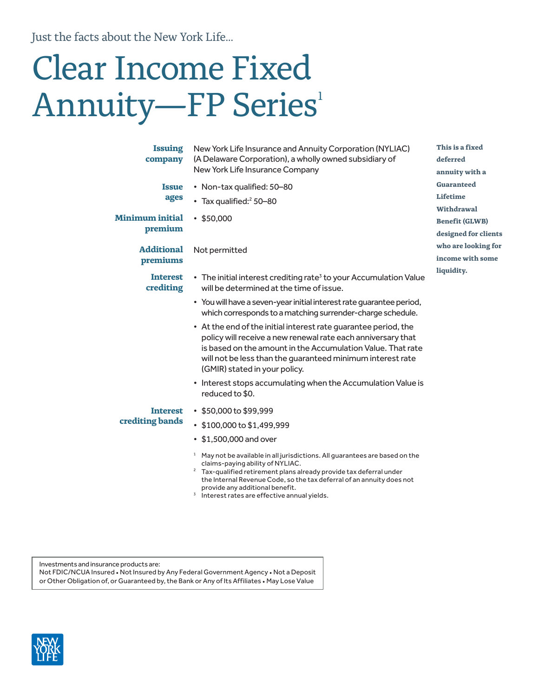Just the facts about the New York Life...

# Clear Income Fixed Annuity—FP Series<sup>1</sup>

| <b>Issuing</b><br>company          | New York Life Insurance and Annuity Corporation (NYLIAC)<br>(A Delaware Corporation), a wholly owned subsidiary of<br>New York Life Insurance Company                                                                                                                                                                     | This is a fixed<br>deferred<br>annuity with a         |  |  |
|------------------------------------|---------------------------------------------------------------------------------------------------------------------------------------------------------------------------------------------------------------------------------------------------------------------------------------------------------------------------|-------------------------------------------------------|--|--|
| <b>Issue</b><br>ages               | • Non-tax qualified: 50-80<br>• Tax qualified: <sup>2</sup> 50-80                                                                                                                                                                                                                                                         | <b>Guaranteed</b><br>Lifetime<br>Withdrawal           |  |  |
| <b>Minimum initial</b><br>premium  | •\$50,000                                                                                                                                                                                                                                                                                                                 | <b>Benefit (GLWB)</b><br>designed for clients         |  |  |
| <b>Additional</b><br>premiums      | Not permitted                                                                                                                                                                                                                                                                                                             | who are looking for<br>income with some<br>liquidity. |  |  |
| <b>Interest</b><br>crediting       | • The initial interest crediting rate <sup>3</sup> to your Accumulation Value<br>will be determined at the time of issue.                                                                                                                                                                                                 |                                                       |  |  |
|                                    | • You will have a seven-year initial interest rate guarantee period,<br>which corresponds to a matching surrender-charge schedule.                                                                                                                                                                                        |                                                       |  |  |
|                                    | • At the end of the initial interest rate guarantee period, the<br>policy will receive a new renewal rate each anniversary that<br>is based on the amount in the Accumulation Value. That rate<br>will not be less than the guaranteed minimum interest rate<br>(GMIR) stated in your policy.                             |                                                       |  |  |
|                                    | • Interest stops accumulating when the Accumulation Value is<br>reduced to \$0.                                                                                                                                                                                                                                           |                                                       |  |  |
| <b>Interest</b><br>crediting bands | $\cdot$ \$50,000 to \$99,999<br>\$100,000 to \$1,499,999<br>• \$1,500,000 and over                                                                                                                                                                                                                                        |                                                       |  |  |
|                                    | <sup>1</sup> May not be available in all jurisdictions. All guarantees are based on the<br>claims-paying ability of NYLIAC.<br><sup>2</sup> Tax-qualified retirement plans already provide tax deferral under<br>the Internal Revenue Code, so the tax deferral of an annuity does not<br>provide any additional benefit. |                                                       |  |  |

provide any additional benefit. 3 Interest rates are effective annual yields.

Investments and insurance products are:

Not FDIC/NCUA Insured • Not Insured by Any Federal Government Agency • Not a Deposit or Other Obligation of, or Guaranteed by, the Bank or Any of Its Affiliates • May Lose Value

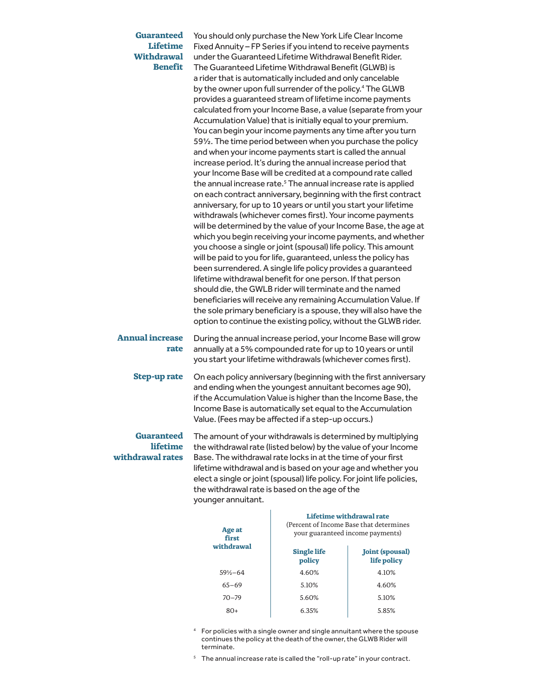| <b>Guaranteed</b><br><b>Lifetime</b><br><b>Withdrawal</b><br><b>Benefit</b> | You should only purchase the New York Life Clear Income<br>Fixed Annuity - FP Series if you intend to receive payments<br>under the Guaranteed Lifetime Withdrawal Benefit Rider.<br>The Guaranteed Lifetime Withdrawal Benefit (GLWB) is<br>a rider that is automatically included and only cancelable<br>by the owner upon full surrender of the policy. <sup>4</sup> The GLWB<br>provides a guaranteed stream of lifetime income payments<br>calculated from your Income Base, a value (separate from your<br>Accumulation Value) that is initially equal to your premium.<br>You can begin your income payments any time after you turn<br>591/ <sub>2</sub> . The time period between when you purchase the policy<br>and when your income payments start is called the annual<br>increase period. It's during the annual increase period that<br>your Income Base will be credited at a compound rate called<br>the annual increase rate. <sup>5</sup> The annual increase rate is applied<br>on each contract anniversary, beginning with the first contract<br>anniversary, for up to 10 years or until you start your lifetime<br>withdrawals (whichever comes first). Your income payments<br>will be determined by the value of your Income Base, the age at<br>which you begin receiving your income payments, and whether<br>you choose a single or joint (spousal) life policy. This amount<br>will be paid to you for life, guaranteed, unless the policy has<br>been surrendered. A single life policy provides a guaranteed<br>lifetime withdrawal benefit for one person. If that person<br>should die, the GWLB rider will terminate and the named<br>beneficiaries will receive any remaining Accumulation Value. If<br>the sole primary beneficiary is a spouse, they will also have the<br>option to continue the existing policy, without the GLWB rider. |
|-----------------------------------------------------------------------------|----------------------------------------------------------------------------------------------------------------------------------------------------------------------------------------------------------------------------------------------------------------------------------------------------------------------------------------------------------------------------------------------------------------------------------------------------------------------------------------------------------------------------------------------------------------------------------------------------------------------------------------------------------------------------------------------------------------------------------------------------------------------------------------------------------------------------------------------------------------------------------------------------------------------------------------------------------------------------------------------------------------------------------------------------------------------------------------------------------------------------------------------------------------------------------------------------------------------------------------------------------------------------------------------------------------------------------------------------------------------------------------------------------------------------------------------------------------------------------------------------------------------------------------------------------------------------------------------------------------------------------------------------------------------------------------------------------------------------------------------------------------------------------------------------------------------------------------------------------------------------------|
| <b>Annual increase</b><br>rate                                              | During the annual increase period, your Income Base will grow<br>annually at a 5% compounded rate for up to 10 years or until<br>you start your lifetime withdrawals (whichever comes first).                                                                                                                                                                                                                                                                                                                                                                                                                                                                                                                                                                                                                                                                                                                                                                                                                                                                                                                                                                                                                                                                                                                                                                                                                                                                                                                                                                                                                                                                                                                                                                                                                                                                                    |
| <b>Step-up rate</b>                                                         | On each policy anniversary (beginning with the first anniversary<br>and ending when the youngest annuitant becomes age 90),<br>if the Accumulation Value is higher than the Income Base, the<br>Income Base is automatically set equal to the Accumulation<br>Value. (Fees may be affected if a step-up occurs.)                                                                                                                                                                                                                                                                                                                                                                                                                                                                                                                                                                                                                                                                                                                                                                                                                                                                                                                                                                                                                                                                                                                                                                                                                                                                                                                                                                                                                                                                                                                                                                 |
| <b>Guaranteed</b><br><b>lifetime</b><br>withdrawal rates                    | The amount of your withdrawals is determined by multiplying<br>the withdrawal rate (listed below) by the value of your Income<br>Base. The withdrawal rate locks in at the time of your first<br>lifetime withdrawal and is based on your age and whether you<br>elect a single or joint (spousal) life policy. For joint life policies,<br>the withdrawal rate is based on the age of the<br>younger annuitant.                                                                                                                                                                                                                                                                                                                                                                                                                                                                                                                                                                                                                                                                                                                                                                                                                                                                                                                                                                                                                                                                                                                                                                                                                                                                                                                                                                                                                                                                 |

| Age at<br>first<br>withdrawal | Lifetime withdrawal rate<br>(Percent of Income Base that determines<br>your guaranteed income payments) |                                       |  |  |
|-------------------------------|---------------------------------------------------------------------------------------------------------|---------------------------------------|--|--|
|                               | <b>Single life</b><br>policy                                                                            | <b>Joint (spousal)</b><br>life policy |  |  |
| $59\% - 64$                   | 4.60%                                                                                                   | 4.10%                                 |  |  |
| $65 - 69$                     | 5.10%                                                                                                   | 4.60%                                 |  |  |
| $70 - 79$                     | 5.60%                                                                                                   | 5.10%                                 |  |  |
| 80+                           | 6.35%                                                                                                   | 5.85%                                 |  |  |

4 For policies with a single owner and single annuitant where the spouse continues the policy at the death of the owner, the GLWB Rider will terminate.

<sup>5</sup> The annual increase rate is called the "roll-up rate" in your contract.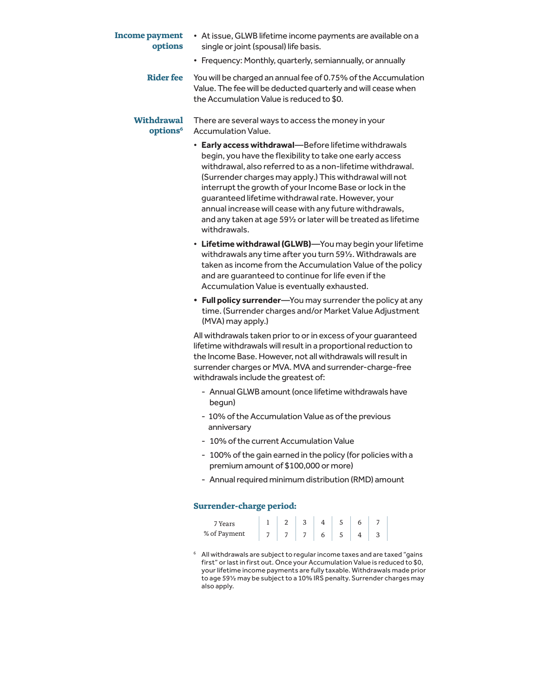| <b>Income payment</b><br>options          | • At issue, GLWB lifetime income payments are available on a<br>single or joint (spousal) life basis.                                                                                                                                                                                                                                                                                                                                                                                                     |
|-------------------------------------------|-----------------------------------------------------------------------------------------------------------------------------------------------------------------------------------------------------------------------------------------------------------------------------------------------------------------------------------------------------------------------------------------------------------------------------------------------------------------------------------------------------------|
|                                           | • Frequency: Monthly, quarterly, semiannually, or annually                                                                                                                                                                                                                                                                                                                                                                                                                                                |
| <b>Rider fee</b>                          | You will be charged an annual fee of 0.75% of the Accumulation<br>Value. The fee will be deducted quarterly and will cease when<br>the Accumulation Value is reduced to \$0.                                                                                                                                                                                                                                                                                                                              |
| <b>Withdrawal</b><br>options <sup>6</sup> | There are several ways to access the money in your<br><b>Accumulation Value.</b>                                                                                                                                                                                                                                                                                                                                                                                                                          |
|                                           | • Early access withdrawal-Before lifetime withdrawals<br>begin, you have the flexibility to take one early access<br>withdrawal, also referred to as a non-lifetime withdrawal.<br>(Surrender charges may apply.) This withdrawal will not<br>interrupt the growth of your Income Base or lock in the<br>guaranteed lifetime withdrawal rate. However, your<br>annual increase will cease with any future withdrawals,<br>and any taken at age 591/2 or later will be treated as lifetime<br>withdrawals. |
|                                           | • Lifetime withdrawal (GLWB)-You may begin your lifetime<br>withdrawals any time after you turn 591/2. Withdrawals are<br>taken as income from the Accumulation Value of the policy<br>and are guaranteed to continue for life even if the<br>Accumulation Value is eventually exhausted.                                                                                                                                                                                                                 |
|                                           | • Full policy surrender-You may surrender the policy at any<br>time. (Surrender charges and/or Market Value Adjustment<br>(MVA) may apply.)                                                                                                                                                                                                                                                                                                                                                               |
|                                           | All withdrawals taken prior to or in excess of your guaranteed<br>lifetime withdrawals will result in a proportional reduction to<br>the Income Base. However, not all withdrawals will result in<br>surrender charges or MVA. MVA and surrender-charge-free<br>withdrawals include the greatest of:                                                                                                                                                                                                      |
|                                           | - Annual GLWB amount (once lifetime withdrawals have<br>begun)                                                                                                                                                                                                                                                                                                                                                                                                                                            |
|                                           | - 10% of the Accumulation Value as of the previous<br>anniversary                                                                                                                                                                                                                                                                                                                                                                                                                                         |
|                                           | - 10% of the current Accumulation Value                                                                                                                                                                                                                                                                                                                                                                                                                                                                   |
|                                           | - 100% of the gain earned in the policy (for policies with a<br>premium amount of \$100,000 or more)                                                                                                                                                                                                                                                                                                                                                                                                      |
|                                           | - Annual required minimum distribution (RMD) amount                                                                                                                                                                                                                                                                                                                                                                                                                                                       |
|                                           |                                                                                                                                                                                                                                                                                                                                                                                                                                                                                                           |

## **Surrender-charge period:**

| 7 Years      | റ | ঽ |   |    |  |  |
|--------------|---|---|---|----|--|--|
| % of Payment |   |   | 6 | C. |  |  |

6 All withdrawals are subject to regular income taxes and are taxed "gains first" or last in first out. Once your Accumulation Value is reduced to \$0, your lifetime income payments are fully taxable. Withdrawals made prior to age 59½ may be subject to a 10% IRS penalty. Surrender charges may also apply.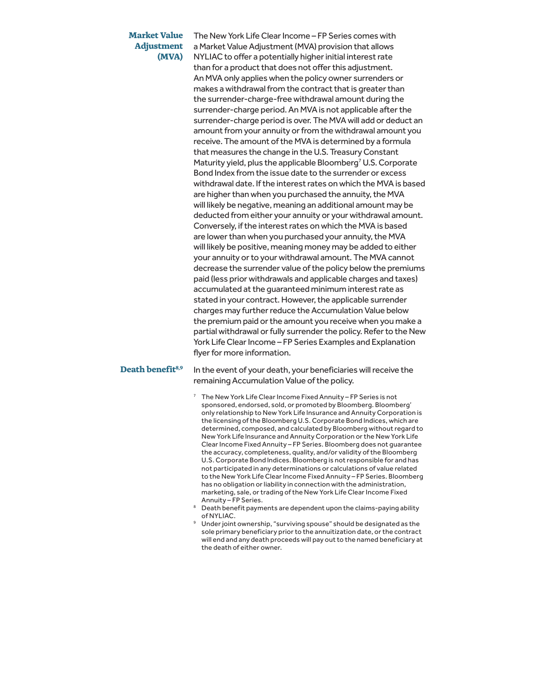#### **Market Value Adjustment (MVA)**

The New York Life Clear Income – FP Series comes with a Market Value Adjustment (MVA) provision that allows NYLIAC to offer a potentially higher initial interest rate than for a product that does not offer this adjustment. An MVA only applies when the policy owner surrenders or makes a withdrawal from the contract that is greater than the surrender-charge-free withdrawal amount during the surrender-charge period. An MVA is not applicable after the surrender-charge period is over. The MVA will add or deduct an amount from your annuity or from the withdrawal amount you receive. The amount of the MVA is determined by a formula that measures the change in the U.S. Treasury Constant Maturity yield, plus the applicable Bloomberg<sup>7</sup> U.S. Corporate Bond Index from the issue date to the surrender or excess withdrawal date. If the interest rates on which the MVA is based are higher than when you purchased the annuity, the MVA will likely be negative, meaning an additional amount may be deducted from either your annuity or your withdrawal amount. Conversely, if the interest rates on which the MVA is based are lower than when you purchased your annuity, the MVA will likely be positive, meaning money may be added to either your annuity or to your withdrawal amount. The MVA cannot decrease the surrender value of the policy below the premiums paid (less prior withdrawals and applicable charges and taxes) accumulated at the guaranteed minimum interest rate as stated in your contract. However, the applicable surrender charges may further reduce the Accumulation Value below the premium paid or the amount you receive when you make a partial withdrawal or fully surrender the policy. Refer to the New York Life Clear Income – FP Series Examples and Explanation flyer for more information.

**Death benefit<sup>8,9</sup>** In the event of your death, your beneficiaries will receive the remaining Accumulation Value of the policy.

- $7$  The New York Life Clear Income Fixed Annuity FP Series is not sponsored, endorsed, sold, or promoted by Bloomberg. Bloomberg' only relationship to New York Life lnsurance and Annuity Corporation is the licensing of the Bloomberg U.S. Corporate Bond lndices, which are determined, composed, and calculated by Bloomberg without regard to New York Life lnsurance and Annuity Corporation or the New York Life Clear Income Fixed Annuity – FP Series. Bloomberg does not guarantee the accuracy, completeness, quality, and/or validity of the Bloomberg U.S. Corporate Bond lndices. Bloomberg is not responsible for and has not participated in any determinations or calculations of value related to the New York Life Clear Income Fixed Annuity – FP Series. Bloomberg has no obligation or liability in connection with the administration, marketing, sale, or trading of the New York Life Clear Income Fixed Annuity – FP Series.
- <sup>8</sup> Death benefit payments are dependent upon the claims-paying ability
- of NYLIAC. 9 Under joint ownership, "surviving spouse" should be designated as the sole primary beneficiary prior to the annuitization date, or the contract will end and any death proceeds will pay out to the named beneficiary at the death of either owner.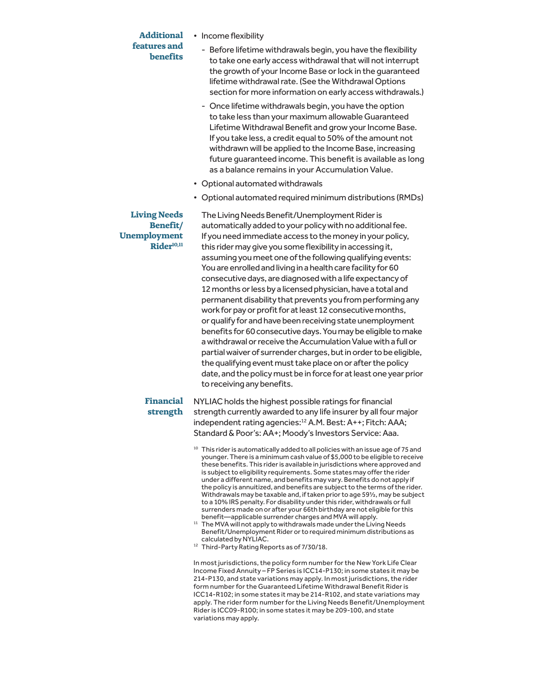#### **Additional features and benefits**

- Income flexibility
	- Before lifetime withdrawals begin, you have the flexibility to take one early access withdrawal that will not interrupt the growth of your Income Base or lock in the guaranteed lifetime withdrawal rate. (See the Withdrawal Options section for more information on early access withdrawals.)
	- Once lifetime withdrawals begin, you have the option to take less than your maximum allowable Guaranteed Lifetime Withdrawal Benefit and grow your Income Base. If you take less, a credit equal to 50% of the amount not withdrawn will be applied to the Income Base, increasing future guaranteed income. This benefit is available as long as a balance remains in your Accumulation Value.
- Optional automated withdrawals
- Optional automated required minimum distributions (RMDs)

### **Living Needs Benefit/ Unemployment**  Rider<sup>10,11</sup>

The Living Needs Benefit/Unemployment Rider is automatically added to your policy with no additional fee. If you need immediate access to the money in your policy, this rider may give you some flexibility in accessing it, assuming you meet one of the following qualifying events: You are enrolled and living in a health care facility for 60 consecutive days, are diagnosed with a life expectancy of 12 months or less by a licensed physician, have a total and permanent disability that prevents you from performing any work for pay or profit for at least 12 consecutive months, or qualify for and have been receiving state unemployment benefits for 60 consecutive days. You may be eligible to make a withdrawal or receive the Accumulation Value with a full or partial waiver of surrender charges, but in order to be eligible, the qualifying event must take place on or after the policy date, and the policy must be in force for at least one year prior to receiving any benefits.

# **Financial strength**

NYLIAC holds the highest possible ratings for financial strength currently awarded to any life insurer by all four major independent rating agencies:<sup>12</sup> A.M. Best: A++; Fitch: AAA; Standard & Poor's: AA+; Moody's Investors Service: Aaa.

- $10$  This rider is automatically added to all policies with an issue age of 75 and younger. There is a minimum cash value of \$5,000 to be eligible to receive these benefits. This rider is available in jurisdictions where approved and is subject to eligibility requirements. Some states may offer the rider under a different name, and benefits may vary. Benefits do not apply if the policy is annuitized, and benefits are subject to the terms of the rider. Withdrawals may be taxable and, if taken prior to age 59½, may be subject to a 10% IRS penalty. For disability under this rider, withdrawals or full surrenders made on or after your 66th birthday are not eligible for this<br>benefit—applicable surrender charges and MVA will apply.
- <sup>11</sup> The MVA will not apply to withdrawals made under the Living Needs Benefit/Unemployment Rider or to required minimum distributions as
- <sup>12</sup> Third-Party Rating Reports as of 7/30/18.

In most jurisdictions, the policy form number for the New York Life Clear Income Fixed Annuity – FP Series is ICC14-P130; in some states it may be 214-P130, and state variations may apply. In most jurisdictions, the rider form number for the Guaranteed Lifetime Withdrawal Benefit Rider is ICC14-R102; in some states it may be 214-R102, and state variations may apply. The rider form number for the Living Needs Benefit/Unemployment Rider is ICC09-R100; in some states it may be 209-100, and state variations may apply.